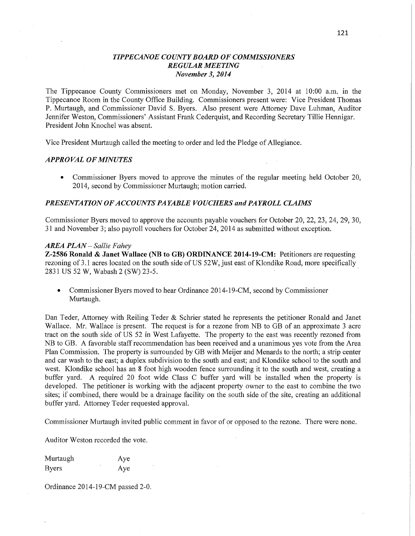# *TIPPECANOE COUNTY BOARD OF COMMISSIONERS TIPPE CANOE COUNTY BOARD* OF *COMMISSIONERS REGULAR MEETING REGULAR MEETING November 3, 2014 November* 3, *2014*

The Tippecanoe County Commissioners met on Monday, November 3, 2014 at 10:00 a.m. in the The Tippecanoe County Commissioners met on Monday, November 3, 2014 at 10:00 **am.** in the Tippecanoe Room in the County Office Building. Commissioners present were: Vice President Thomas Tippecanoe Room in the County Office Building. Commissioners present were: Vice President **Thomas**  P. Murtaugh, and Commissioner David S. Byers. Also present were Attorney Dave Luhman, Auditor P. Murtaugh, and Commissioner David S. Byers. Also present were Attorney Dave Luhman, **Auditor**  Jennifer Weston, Commissioners' Assistant Frank Cederquist, and Recording Secretary Tillie Hennigar. Jennifer Weston, Commissioners' Assistant Frank Cederquist, and Recording Secretary Tillie **Hennigar.**  President John Knochel was absent. President John Knochel was absent. **I** 

Vice President Murtaugh called the meeting to order and led the Pledge of Allegiance. Vice President Murtaugh called the meeting to order and led the Pledge of **Allegiance.** 

# *APPROVAL OF MINUTES APPROVAL* OF *MINUTES*

• Commissioner Byers moved to approve the minutes of the regular meeting held October 20, 2014, second by Commissioner Murtaugh; motion carried. 2014, second by Commissioner Murtaugh; motion carried.

## *PRESENTATION OF ACCOUNTS PAYABLE VOUCHERS and PAYROLL CLAIMS PRESENTATION* OF *ACCOUNT S* PA *YABLE VOUCHERS* and *PAYROLL CLAIMS*

Commissioner Byers moved to approve the accounts payable vouchers for October 20, 22, 23, 24, 29, 30, Commissioner Byers moved to approve the accounts payable vouchers for October 20, 22, 23, 24, 29, 30, 31 and November 3; also payroll vouchers for October 24, 2014 as submitted without exception. 31 and November 3; also payroll vouchers for October 24, 2014 as submitted without exception.

## *AREA PLAN* - *Sallie Fahey AREA PLAN* **—** *Sallie Fahey*

Z-2586 Ronald & Janet Wallace (NB to GB) ORDINANCE 2014-19-CM: Petitioners are requesting **Z—2586 Ronald & Janet Wallace** (NB to GB) **ORDINANCE 2014-19—CM:** Petitioners are requesting rezoning of 3.1 acres located on the south side of US 52W, just east of Klondike Road, more specifically 2831 US 52 W, Wabash 2 (SW) 23-5.

• Commissioner Byers moved to hear Ordinance 2014-19-CM, second by Commissioner Murtaugh. Murtaugh.

Dan Teder, Attorney with Reiling Teder & Schrier stated he represents the petitioner Ronald and Janet Dan Teder, Attorney with Reiling Teder & Schrier stated he represents the petitioner Ronald and Janet Wallace. Mr. Wallace is present. The request is for a rezone from NB to GB of an approximate 3 acre Wallace. Mr. Wallace is present. The request is for <sup>a</sup>rezone from NB to GB of an approximate 3 acre tract on the south side of US 52 in West Lafayette. The property to the east was recently rezoned from tract on the south side of US 52 in West Lafayette. The property to the east was recently rezoned from NB to GB. A favorable staff recommendation has been received and a unanimous yes vote from the Area NB to GB. **A** favorable staff recommendation has been received and a unanimous yes vote fiom the Area Plan Commission. The property is surrounded by GB with Meijer and Menards to the north; a strip center Plan Commission. The property is surrounded by GB with Meijer and Menards to the north; a strip center and car wash to the east; a duplex subdivision to the south and east; and Klondike school to the south and and car wash to the east; a duplex subdivision to the south and east; and Klondike school to the south and west. Klondike school has an 8 foot high wooden fence surrounding it to the south and west, creating a west. Klondike school has an 8 foot high wooden fence surrounding it to the south and west, creating a buffer yard. A required 20 foot wide Class C buffer yard will be installed when the property is buffer yard. **A** required 20 foot wide Class C buffer yard will be installed when the property is developed. The petitioner is working with the adjacent property owner to the east to combine the two sites; if combined, there would be a drainage facility on the south side of the site, creating an additional sites; if combined, there would be a drainage facility on the south side of the site, creating an additional buffer yard. Attorney Teder requested approval. buffer yard. Attorney Teder requested approval.

Commissioner Murtaugh invited public comment in favor of or opposed to the rezone. There were none. Commissioner Murtaugh invited public comment in favor of pr opposed to the rezone. There were none.

Auditor Weston recorded the vote. Auditor Weston recorded the **vote.** 

Murtaugh Murtaugh Aye Byers Aye Aye Aye

Ordinance 2014-19-CM passed 2-0. Ordinance 2014-19—CM passed 2-0.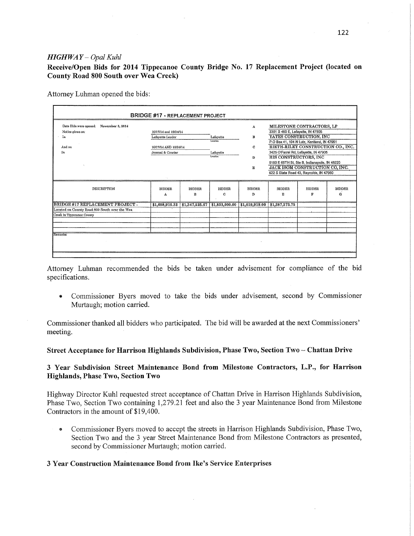### *HIGHWAY* - *Opal Kuhl HIGHWAY* — *Opal Kuhl*

Receive/Open Bids for 2014 Tippecanoe County Bridge No. 17 Replacement Project (located on **Receive/Open** Bids for **2014 Tippecanoe** County **Bridge** No. 17 **Replacement Project (located** on County Road 800 South over Wea Creek) **County Road** 800 South **over** Wea **Creek)** 

Attorney Luhman opened the bids: Attorney Luhman opened the bids:

| Date Bids were opened:<br>November 3, 2014    |                       |                                 |                       | A              | MILESTONE CONTRACTORS, LP                     |                         |               |
|-----------------------------------------------|-----------------------|---------------------------------|-----------------------|----------------|-----------------------------------------------|-------------------------|---------------|
| Notice given on:                              | 10/17/14 and 10/24/14 |                                 |                       |                | 3301 S 460 E, Lafayette, IN 47905             |                         |               |
| In                                            | Lafayette Leader      |                                 | Lafavette<br>Location | в              |                                               | YATES CONSTRUCTION, INC |               |
|                                               |                       |                                 |                       |                | P.O Box 41, 104 N Lutz, Kentland, IN 47951    |                         |               |
| And on                                        | 10/17/14 AND 10/24/14 |                                 |                       | C              | RIETH-RILEY CONSTRUCTION CO., INC.            |                         |               |
| In                                            | Journal & Courier     |                                 | Lafayette             |                | 3425 O'Farrel Rd, Lafayette, IN 47905         |                         |               |
|                                               |                       |                                 | Location              | D              | HIS CONSTRUCTORS, INC                         |                         |               |
|                                               |                       |                                 |                       |                | 5150 E 65TH St, Ste B, Indianapolis, IN 46220 |                         |               |
|                                               |                       |                                 |                       | E              | JACK ISOM CONSTRUCTION CO, INC.               |                         |               |
|                                               |                       |                                 |                       |                | 622 S State Road 43, Reynolds, IN 47980       |                         |               |
|                                               |                       |                                 |                       |                |                                               |                         |               |
| <b>DESCRIPTION</b>                            | <b>BIDDER</b>         | <b>BIDDER</b>                   | <b>BIDDER</b>         | <b>BIDDER</b>  | <b>BIDDER</b>                                 | <b>BIDDER</b>           | <b>BIDDER</b> |
|                                               | Λ                     | в                               | C                     | D              | E                                             | F                       | G             |
| BRIDGE #17 REPLACEMENT PROJECT -              |                       | $$1,698,915.33$ $$1,347,525.67$ | \$1,833,000.00        | \$1,619,919,00 | 31,387,373.75                                 |                         |               |
| Located on County Road 800 South over the Wea |                       |                                 |                       |                |                                               |                         |               |
| Creek in Tippecanoe County                    |                       |                                 |                       |                |                                               |                         |               |
|                                               |                       |                                 |                       |                |                                               |                         |               |
|                                               |                       |                                 |                       |                |                                               |                         |               |
|                                               |                       |                                 |                       |                |                                               |                         |               |
| Remarks:                                      |                       |                                 |                       |                |                                               |                         |               |

Attorney Luhman recommended the bids be taken under advisement for compliance of the bid Attorney Luhman recommended the bids be taken under advisement for compliance of the bid specifications. specifications.

• Commissioner Byers moved to take the bids under advisement, second by Commissioner Murtaugh; motion carried. Murtaugh; motion carried.

Commissioner thanked all bidders who participated. The bid will be awarded at the next Commissioners' Commissioner **thanked** all bidders who participated. The bid will be awarded at the next Commissioners' meeting.

## Street Acceptance for Harrison Highlands Subdivision, Phase Two, Section Two Chattan Drive **Street Acceptance** for **Harrison Highlands** Subdivision, **Phase Two, Section** Two »- Chattan **Drive**

# 3 Year Subdivision Street Maintenance Bond from Milestone Contractors, L.P., for Harrison Highlands, Phase Two, Section Two **Highlands, Phase Two, Section** Two

Highway Director Kuhl requested street acceptance of Chattan Drive in Harrison Highlands Subdivision, Highway Director Kuhl requested street acceptance of Chattan Drive in Harrison Highlands Subdivision, Phase Two, Section Two containing 1,279.21 feet and also the 3 year Maintenance Bond from Milestone Phase Two, Section Two containing 1,279.21 feet and also the 3 year Maintenance Bond from Milestone Contractors in the amount of \$19 ,400. Contractors in the amount of \$19,400.

• Commissioner Byers moved to accept the streets in Harrison Highlands Subdivision, Phase Two, Section Two and the 3 year Street Maintenance Bond from Milestone Contractors as presented, Section Two and the 3 year Street Maintenance Bond from Milestone Contractors as presented, second by Commissioner Murtaugh; motion carried. second by Commissioner Murtaugh; motion carried.

## 3 Year Construction Maintenance Bond from Ike's Service Enterprises **3 Year** Construction **Maintenance** Bond **from Ike's Service Enterprises**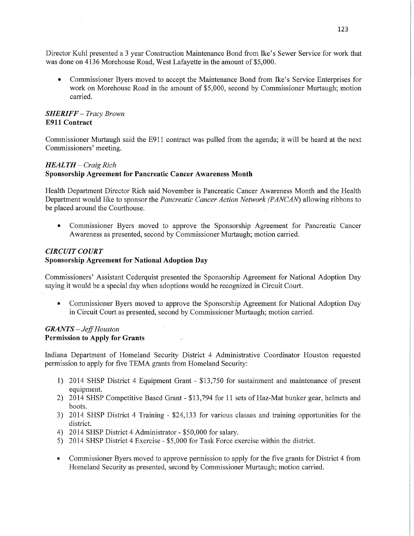Director Kuhl presented a 3 year Construction Maintenance Bond from Ike's Sewer Service for work that Director Kuhl presented a 3 year Construction 'Maintenance Bond from Ike's Sewer Service for work that was done on 4136 Morehouse Road, West Lafayette in the amount of \$5,000.

• Commissioner Byers moved to accept the Maintenance Bond from Ike's Service Enterprises for work on Morehouse Road in the amount of \$5,000, second by Commissioner Murtaugh; motion work on Morehouse Road in the amount of \$5,000, second by Commissioner Murtaugh; motion carried. carried.

# *SHERIFF* - *Tracy Brown SHERIFF* — *Tracy Brown*  **E911 Contract**  E911 **Contract**

Commissioner Murtaugh said the E911 contract was pulled from the agenda; it will be heard at the next Commissioners' meeting. Commissioners' meeting.

## *HEALTH* - *Craig Rich HEALTH — Craig Rich*  **Sponsorship Agreement for Pancreatic Cancer Awareness Month Sponsorship Agreement** for **Pancreatic Cancer Awareness Month**

Health Department Director Rich said November is Pancreatic Cancer Awareness Month and the Health Health Department Director Rich said November is Pancreatic Cancer Awareness Month and the Health Department would like to sponsor the *Pancreatic Cancer Action Network (PANCAN)* allowing ribbons to Department would like to sponsor the *Pancreatic Cancer Action Network (PANCAN)* allowing ribbons to be placed around the Courthouse. be placed around the Courthouse.

• Commissioner Byers moved to approve the Sponsorship Agreement for Pancreatic Cancer Awareness as presented, second by Commissioner Murtaugh; motion carried. Awareness as presented, second by Commissioner Murtaugh; motion carried.

# *CIRCUIT COURT CIRCUIT COURT*

## **Sponsorship Agreement for National Adoption Day Sponsorship Agreement** for **National Adoption** Day

Commissioners' Assistant Cederquist presented the Sponsorship Agreement for National Adoption Day Commissioners' Assistant Cederquist presented the Sponsorship Agreement for National Adoption Day saying it would be a special day when adoptions would be recognized in Circuit Court. saying it would be <sup>a</sup>special day when adoptions would be recognized in Circuit Court.

• Commissioner Byers moved to approve the Sponsorship Agreement for National Adoption Day in Circuit Court as presented, second by Commissioner Murtaugh; motion carried. in Circuit Court as presented, second by Commissioner Murtaugh; motion carried.

# *GRANTS* - *Jeff Houston GRANTS* — Jefi' *Houston*  **Permission to Apply for Grants**  Permission to **Apply** for **Grants**

Indiana Department of Homeland Security District 4 Administrative Coordinator Houston requested Indiana Department of Homeland Security District 4 Administrative Coordinator Houston requested permission to apply for five TEMA grants from Homeland Security: permission to apply for five TEMA grants from Homeland Security:

- 1) 2014 SHSP District 4 Equipment Grant \$13,750 for sustainment and maintenance of present 1) 2014 SHSP District 4 Equipment Grant \$13,750 for sustainment and maintenance of presen<sup>t</sup> equipment. equipment.
- 2) 2014 SHSP Competitive Based Grant \$13,794 for 11 sets of Haz-Mat bunker gear, helmets and 2) 2014 SHSP Competitive Based Grant \$13,794 for 11 sets of Haz-Mat bunker gear, helmets and boots. boots.
- 3) 2014 SHSP District 4 Training \$24,133 for various classes and training opportunities for the 3) 2014 SHSP District 4 Training \$24; 133 for various classes and training opportunities for the district. district.
- 4) 2014 SHSP District 4 Administrator \$50,000 for salary. 4) 2014 SHSP District 4 Administrator \$50,000 for salary.
- 5) 2014 SHSP District 4 Exercise \$5,000 for Task Force exercise within the district. 5) 2014 SHSP District 4 Exercise \$5,000 for Task Force exercise within the district.
- Commissioner Byers moved to approve permission to apply for the five grants for District 4 from Homeland Security as presented, second by Commissioner Murtaugh; motion carried. Homeland Security as presented, second by Commissioner Murtaugh; motion carried.